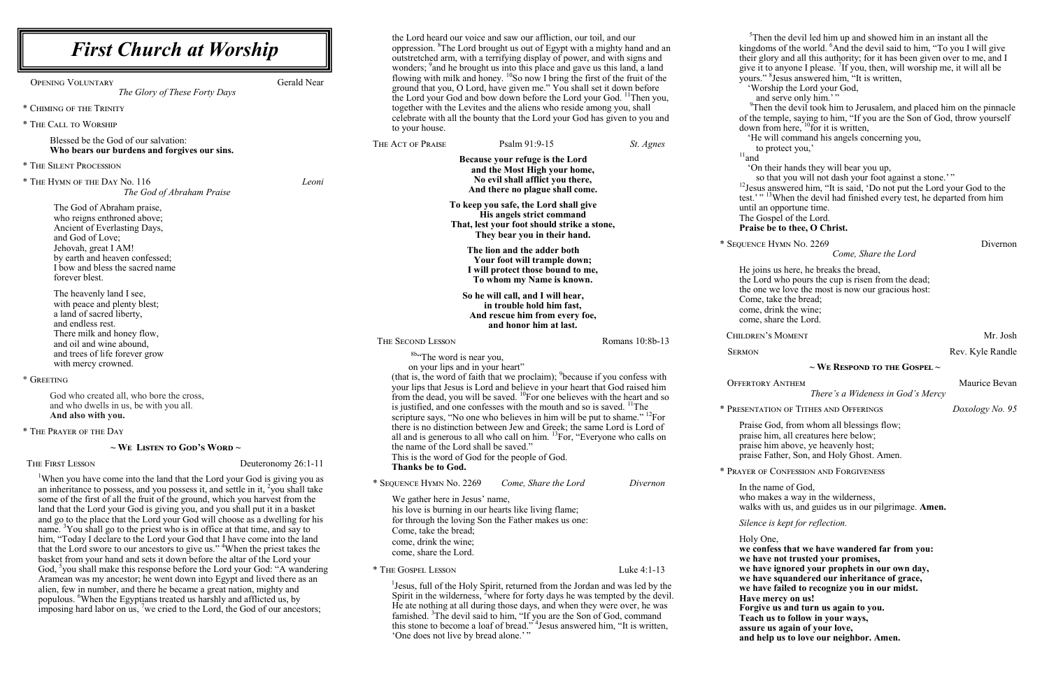| <b>First Church at Worship</b>                                                                                                                                                                                                                                                                                                                                                                                                                                                                                                                                                                                                                                                               | the Lord heard our voice and saw our affliction, our toil, and our<br>oppression. <sup>8</sup> The Lord brought us out of Egypt with a mighty hand and an<br>outstretched arm, with a terrifying display of power, and with signs and<br>wonders; <sup>9</sup> and he brought us into this place and gave us this land, a land                                                                                                                                                                                                 |                                  | $5$ Thei<br>kingdor<br>their glo                                                     |
|----------------------------------------------------------------------------------------------------------------------------------------------------------------------------------------------------------------------------------------------------------------------------------------------------------------------------------------------------------------------------------------------------------------------------------------------------------------------------------------------------------------------------------------------------------------------------------------------------------------------------------------------------------------------------------------------|--------------------------------------------------------------------------------------------------------------------------------------------------------------------------------------------------------------------------------------------------------------------------------------------------------------------------------------------------------------------------------------------------------------------------------------------------------------------------------------------------------------------------------|----------------------------------|--------------------------------------------------------------------------------------|
| <b>Gerald Near</b><br><b>OPENING VOLUNTARY</b><br>The Glory of These Forty Days<br>* CHIMING OF THE TRINITY<br>* THE CALL TO WORSHIP                                                                                                                                                                                                                                                                                                                                                                                                                                                                                                                                                         | flowing with milk and honey. <sup>10</sup> So now I bring the first of the fruit of the<br>ground that you, O Lord, have given me." You shall set it down before<br>the Lord your God and bow down before the Lord your God. <sup>11</sup> Then you,<br>together with the Levites and the aliens who reside among you, shall<br>celebrate with all the bounty that the Lord your God has given to you and<br>to your house.                                                                                                    |                                  | give it to<br>yours."<br>'Wor<br>and<br>$^{9}$ The:<br>of the te<br>down fr          |
| Blessed be the God of our salvation:<br>Who bears our burdens and forgives our sins.                                                                                                                                                                                                                                                                                                                                                                                                                                                                                                                                                                                                         | THE ACT OF PRAISE<br>Psalm 91:9-15                                                                                                                                                                                                                                                                                                                                                                                                                                                                                             | St. Agnes                        | 'He w<br>to p                                                                        |
| * THE SILENT PROCESSION                                                                                                                                                                                                                                                                                                                                                                                                                                                                                                                                                                                                                                                                      | Because your refuge is the Lord<br>and the Most High your home,                                                                                                                                                                                                                                                                                                                                                                                                                                                                |                                  | $11$ and<br>ʻOn tl                                                                   |
| * THE HYMN OF THE DAY No. 116<br>Leoni<br>The God of Abraham Praise                                                                                                                                                                                                                                                                                                                                                                                                                                                                                                                                                                                                                          | No evil shall afflict you there,<br>And there no plague shall come.                                                                                                                                                                                                                                                                                                                                                                                                                                                            |                                  | so t<br>$^{12}$ Jesus a<br>test.' $,$ ' $,$ ' <sup>1</sup>                           |
| The God of Abraham praise,<br>who reigns enthroned above;<br>Ancient of Everlasting Days,<br>and God of Love;<br>Jehovah, great I AM!                                                                                                                                                                                                                                                                                                                                                                                                                                                                                                                                                        | To keep you safe, the Lord shall give<br>His angels strict command<br>That, lest your foot should strike a stone,<br>They bear you in their hand.<br>The lion and the adder both                                                                                                                                                                                                                                                                                                                                               |                                  | until an<br>The Go<br>Praise l<br>* SEQUENCE                                         |
| by earth and heaven confessed;<br>I bow and bless the sacred name<br>forever blest.<br>The heavenly land I see,                                                                                                                                                                                                                                                                                                                                                                                                                                                                                                                                                                              | Your foot will trample down;<br>I will protect those bound to me,<br>To whom my Name is known.                                                                                                                                                                                                                                                                                                                                                                                                                                 |                                  | He joins<br>the Lord<br>the one                                                      |
| with peace and plenty blest;<br>a land of sacred liberty,<br>and endless rest.                                                                                                                                                                                                                                                                                                                                                                                                                                                                                                                                                                                                               | So he will call, and I will hear,<br>in trouble hold him fast,<br>And rescue him from every foe,<br>and honor him at last.                                                                                                                                                                                                                                                                                                                                                                                                     |                                  | Come, t<br>come, d<br>come, s                                                        |
| There milk and honey flow,<br>and oil and wine abound,                                                                                                                                                                                                                                                                                                                                                                                                                                                                                                                                                                                                                                       | THE SECOND LESSON                                                                                                                                                                                                                                                                                                                                                                                                                                                                                                              | Romans 10:8b-13                  | CHILDREN'                                                                            |
| and trees of life forever grow<br>with mercy crowned.<br>* GREETING<br>God who created all, who bore the cross,                                                                                                                                                                                                                                                                                                                                                                                                                                                                                                                                                                              | <sup>8b</sup> "The word is near you,<br>on your lips and in your heart"<br>(that is, the word of faith that we proclaim); <sup>9</sup> because if you confess with<br>your lips that Jesus is Lord and believe in your heart that God raised him                                                                                                                                                                                                                                                                               |                                  | <b>SERMON</b><br><b>OFFERTORY</b>                                                    |
| and who dwells in us, be with you all.<br>And also with you.                                                                                                                                                                                                                                                                                                                                                                                                                                                                                                                                                                                                                                 | from the dead, you will be saved. $^{10}$ For one believes with the heart and so<br>is justified, and one confesses with the mouth and so is saved. <sup>11</sup> The<br>scripture says, "No one who believes in him will be put to shame." <sup>12</sup> For                                                                                                                                                                                                                                                                  |                                  | * PRESENTAT                                                                          |
| * THE PRAYER OF THE DAY                                                                                                                                                                                                                                                                                                                                                                                                                                                                                                                                                                                                                                                                      | there is no distinction between Jew and Greek; the same Lord is Lord of<br>all and is generous to all who call on him. <sup>13</sup> For, "Everyone who calls on                                                                                                                                                                                                                                                                                                                                                               |                                  | Praise C<br>praise h                                                                 |
| $\sim$ We Listen to God's Word $\sim$                                                                                                                                                                                                                                                                                                                                                                                                                                                                                                                                                                                                                                                        | the name of the Lord shall be saved."<br>This is the word of God for the people of God.                                                                                                                                                                                                                                                                                                                                                                                                                                        |                                  | praise h<br>praise F                                                                 |
| THE FIRST LESSON<br>Deuteronomy 26:1-11                                                                                                                                                                                                                                                                                                                                                                                                                                                                                                                                                                                                                                                      | Thanks be to God.                                                                                                                                                                                                                                                                                                                                                                                                                                                                                                              |                                  | * PRAYER OF                                                                          |
| When you have come into the land that the Lord your God is giving you as<br>an inheritance to possess, and you possess it, and settle in it, $\frac{1}{2}$ you shall take<br>some of the first of all the fruit of the ground, which you harvest from the<br>land that the Lord your God is giving you, and you shall put it in a basket<br>and go to the place that the Lord your God will choose as a dwelling for his<br>name. <sup>3</sup> You shall go to the priest who is in office at that time, and say to<br>him, "Today I declare to the Lord your God that I have come into the land<br>that the Lord swore to our ancestors to give us." <sup>4</sup> When the priest takes the | * SEQUENCE HYMN No. 2269<br>We gather here in Jesus' name,<br>his love is burning in our hearts like living flame;<br>for through the loving Son the Father makes us one:<br>Come, take the bread;<br>come, drink the wine;                                                                                                                                                                                                                                                                                                    | Come, Share the Lord<br>Divernon | In the n<br>who ma<br>walks w<br>Silence<br>Holy O <sub>1</sub><br>we conf           |
| basket from your hand and sets it down before the altar of the Lord your                                                                                                                                                                                                                                                                                                                                                                                                                                                                                                                                                                                                                     | come, share the Lord.                                                                                                                                                                                                                                                                                                                                                                                                                                                                                                          |                                  | we have                                                                              |
| God, 'you shall make this response before the Lord your God: "A wandering<br>Aramean was my ancestor; he went down into Egypt and lived there as an<br>alien, few in number, and there he became a great nation, mighty and<br>populous. When the Egyptians treated us harshly and afflicted us, by<br>imposing hard labor on us, 'we cried to the Lord, the God of our ancestors;                                                                                                                                                                                                                                                                                                           | * THE GOSPEL LESSON<br>Luke 4:1-13<br><sup>1</sup> Jesus, full of the Holy Spirit, returned from the Jordan and was led by the<br>Spirit in the wilderness, <sup>2</sup> where for forty days he was tempted by the devil.<br>He ate nothing at all during those days, and when they were over, he was<br>famished. <sup>3</sup> The devil said to him, "If you are the Son of God, command<br>this stone to become a loaf of bread." <sup>4</sup> Jesus answered him, "It is written,<br>'One does not live by bread alone.'" |                                  | we have<br>we have<br>we have<br>Have m<br>Forgive<br>Teach u<br>assure 1<br>and hel |

n the devil led him up and showed him in an instant all the ms of the world. <sup>6</sup>And the devil said to him, "To you I will give ory and all this authority; for it has been given over to me, and I give it to anyone I please. <sup>7</sup>If you, then, will worship me, it will all be 8 Jesus answered him, "It is written, ship the Lord your God, l serve only him.'" n the devil took him to Jerusalem, and placed him on the pinnacle emple, saying to him, "If you are the Son of God, throw yourself com here,  $^{10}$  for it is written, vill command his angels concerning you, protect you,' heir hands they will bear you up, that you will not dash your foot against a stone.'" answered him, "It is said, 'Do not put the Lord your God to the  $3$ When the devil had finished every test, he departed from him opportune time. spel of the Lord. **Praise to thee, O Christ. HYMN No. 2269** Divernon *Come, Share the Lord* s us here, he breaks the bread, d who pours the cup is risen from the dead; we love the most is now our gracious host: take the bread; lrink the wine: hare the Lord. S MOMENT Mr. Josh Rev. Kyle Randle **~ We Respond to the Gospel ~** V ANTHEM Maurice Bevan *There's a Wideness in God's Mercy* TON OF TITHES AND OFFERINGS *Doxology No.* 95 Form whom all blessings flow; im, all creatures here below; im above, ye heavenly host; Father, Son, and Holy Ghost. Amen. CONFESSION AND FORGIVENESS ame of God, akes a way in the wilderness, with us, and guides us in our pilgrimage. **Amen.** *is kept for reflection.* ne, fess that we have wandered far from you: **we have not trusted your promises, we have ignored your prophets in our own day, we have squandered our inheritance of grace, we have failed to recognize you in our midst. have mercy on us! E** us and turn us again to you. **Teach us to follow in your ways, assure us again of your love,** Ip us to love our neighbor. Amen.